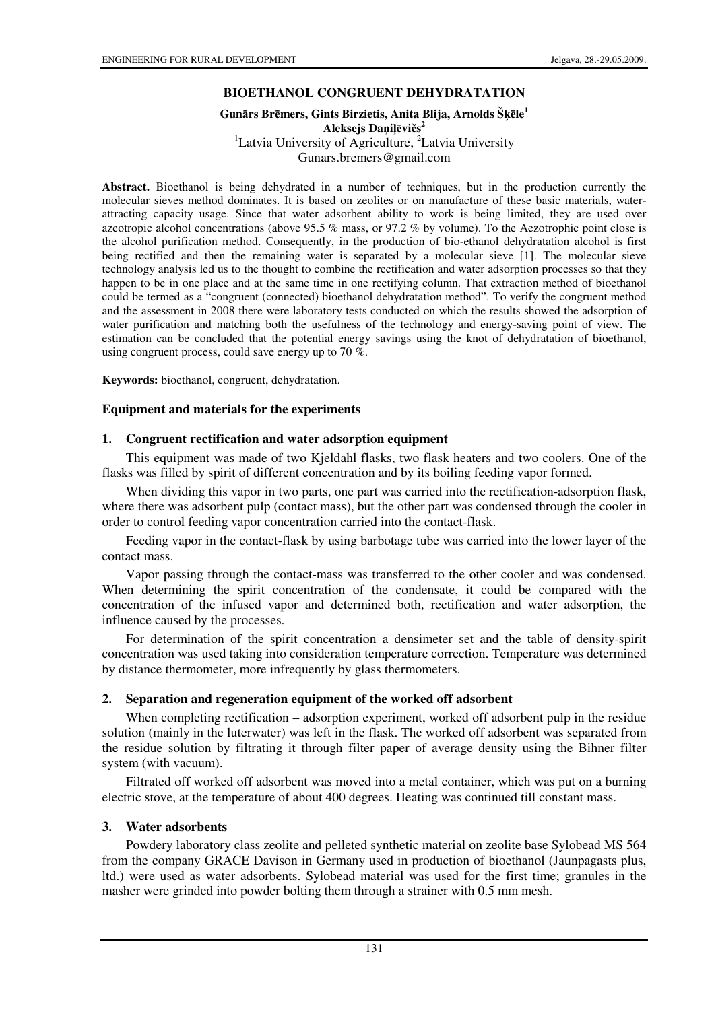# **BIOETHANOL CONGRUENT DEHYDRATATION**

### **Gun**ā**rs Br**ē**mers, Gints Birzietis, Anita Blija, Arnolds Š**ķē**le<sup>1</sup> Aleksejs Da**ņ**i**ļē**vi**č**s 2** <sup>1</sup>Latvia University of Agriculture,  ${}^{2}$ Latvia University Gunars.bremers@gmail.com

**Abstract.** Bioethanol is being dehydrated in a number of techniques, but in the production currently the molecular sieves method dominates. It is based on zeolites or on manufacture of these basic materials, waterattracting capacity usage. Since that water adsorbent ability to work is being limited, they are used over azeotropic alcohol concentrations (above 95.5 % mass, or 97.2 % by volume). To the Aezotrophic point close is the alcohol purification method. Consequently, in the production of bio-ethanol dehydratation alcohol is first being rectified and then the remaining water is separated by a molecular sieve [1]. The molecular sieve technology analysis led us to the thought to combine the rectification and water adsorption processes so that they happen to be in one place and at the same time in one rectifying column. That extraction method of bioethanol could be termed as a "congruent (connected) bioethanol dehydratation method". To verify the congruent method and the assessment in 2008 there were laboratory tests conducted on which the results showed the adsorption of water purification and matching both the usefulness of the technology and energy-saving point of view. The estimation can be concluded that the potential energy savings using the knot of dehydratation of bioethanol, using congruent process, could save energy up to 70 %.

**Keywords:** bioethanol, congruent, dehydratation.

## **Equipment and materials for the experiments**

## **1. Congruent rectification and water adsorption equipment**

This equipment was made of two Kjeldahl flasks, two flask heaters and two coolers. One of the flasks was filled by spirit of different concentration and by its boiling feeding vapor formed.

When dividing this vapor in two parts, one part was carried into the rectification-adsorption flask, where there was adsorbent pulp (contact mass), but the other part was condensed through the cooler in order to control feeding vapor concentration carried into the contact-flask.

Feeding vapor in the contact-flask by using barbotage tube was carried into the lower layer of the contact mass.

Vapor passing through the contact-mass was transferred to the other cooler and was condensed. When determining the spirit concentration of the condensate, it could be compared with the concentration of the infused vapor and determined both, rectification and water adsorption, the influence caused by the processes.

For determination of the spirit concentration a densimeter set and the table of density-spirit concentration was used taking into consideration temperature correction. Temperature was determined by distance thermometer, more infrequently by glass thermometers.

### **2. Separation and regeneration equipment of the worked off adsorbent**

When completing rectification – adsorption experiment, worked off adsorbent pulp in the residue solution (mainly in the luterwater) was left in the flask. The worked off adsorbent was separated from the residue solution by filtrating it through filter paper of average density using the Bihner filter system (with vacuum).

Filtrated off worked off adsorbent was moved into a metal container, which was put on a burning electric stove, at the temperature of about 400 degrees. Heating was continued till constant mass.

### **3. Water adsorbents**

Powdery laboratory class zeolite and pelleted synthetic material on zeolite base Sylobead MS 564 from the company GRACE Davison in Germany used in production of bioethanol (Jaunpagasts plus, ltd.) were used as water adsorbents. Sylobead material was used for the first time; granules in the masher were grinded into powder bolting them through a strainer with 0.5 mm mesh.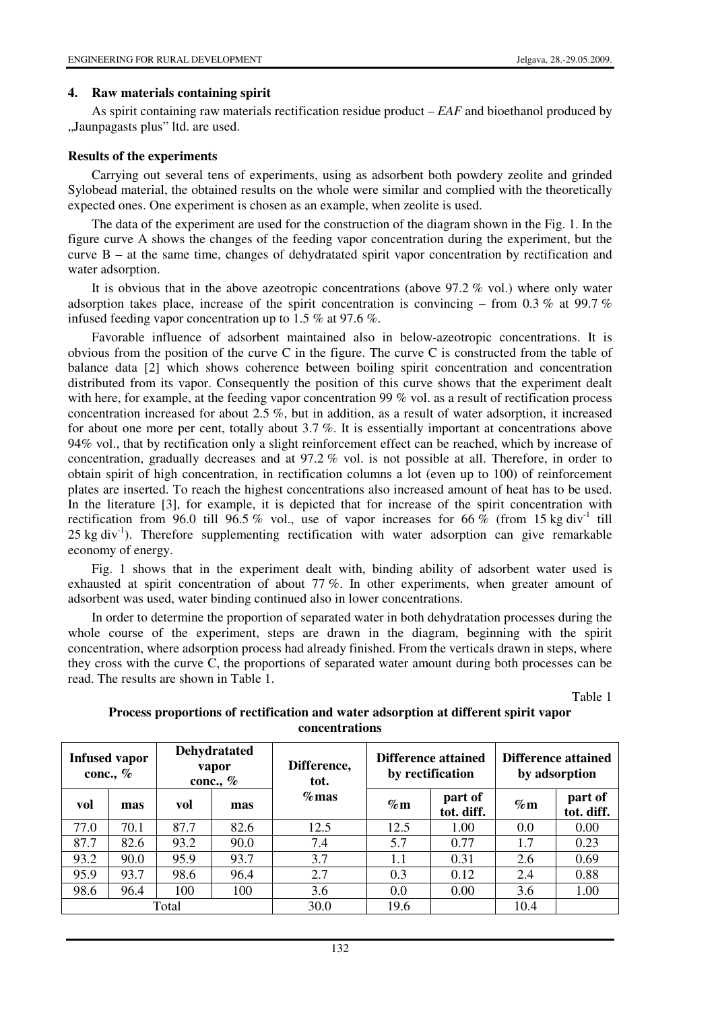#### **4. Raw materials containing spirit**

As spirit containing raw materials rectification residue product – *EAF* and bioethanol produced by "Jaunpagasts plus" ltd. are used.

### **Results of the experiments**

Carrying out several tens of experiments, using as adsorbent both powdery zeolite and grinded Sylobead material, the obtained results on the whole were similar and complied with the theoretically expected ones. One experiment is chosen as an example, when zeolite is used.

The data of the experiment are used for the construction of the diagram shown in the Fig. 1. In the figure curve A shows the changes of the feeding vapor concentration during the experiment, but the curve B – at the same time, changes of dehydratated spirit vapor concentration by rectification and water adsorption.

It is obvious that in the above azeotropic concentrations (above 97.2 % vol.) where only water adsorption takes place, increase of the spirit concentration is convincing – from 0.3 % at 99.7 % infused feeding vapor concentration up to 1.5 % at 97.6 %.

Favorable influence of adsorbent maintained also in below-azeotropic concentrations. It is obvious from the position of the curve C in the figure. The curve C is constructed from the table of balance data [2] which shows coherence between boiling spirit concentration and concentration distributed from its vapor. Consequently the position of this curve shows that the experiment dealt with here, for example, at the feeding vapor concentration 99 % vol. as a result of rectification process concentration increased for about 2.5 %, but in addition, as a result of water adsorption, it increased for about one more per cent, totally about 3.7 %. It is essentially important at concentrations above 94% vol., that by rectification only a slight reinforcement effect can be reached, which by increase of concentration, gradually decreases and at 97.2 % vol. is not possible at all. Therefore, in order to obtain spirit of high concentration, in rectification columns a lot (even up to 100) of reinforcement plates are inserted. To reach the highest concentrations also increased amount of heat has to be used. In the literature [3], for example, it is depicted that for increase of the spirit concentration with rectification from 96.0 till 96.5 % vol., use of vapor increases for 66 % (from 15 kg div<sup>-1</sup> till 25 kg div<sup>-1</sup>). Therefore supplementing rectification with water adsorption can give remarkable economy of energy.

Fig. 1 shows that in the experiment dealt with, binding ability of adsorbent water used is exhausted at spirit concentration of about 77 %. In other experiments, when greater amount of adsorbent was used, water binding continued also in lower concentrations.

In order to determine the proportion of separated water in both dehydratation processes during the whole course of the experiment, steps are drawn in the diagram, beginning with the spirit concentration, where adsorption process had already finished. From the verticals drawn in steps, where they cross with the curve C, the proportions of separated water amount during both processes can be read. The results are shown in Table 1.

Table 1

| <b>Infused vapor</b><br>conc., $%$ |      | <b>Dehydratated</b><br>vapor<br>conc., $\%$ |      | Difference,<br>tot. | Difference attained<br>by rectification |                       | Difference attained<br>by adsorption |                       |
|------------------------------------|------|---------------------------------------------|------|---------------------|-----------------------------------------|-----------------------|--------------------------------------|-----------------------|
| vol                                | mas  | vol                                         | mas  | $\%$ mas            | $\%$ m                                  | part of<br>tot. diff. | $\%$ m                               | part of<br>tot. diff. |
| 77.0                               | 70.1 | 87.7                                        | 82.6 | 12.5                | 12.5                                    | 1.00                  | 0.0                                  | 0.00                  |
| 87.7                               | 82.6 | 93.2                                        | 90.0 | 7.4                 | 5.7                                     | 0.77                  | 1.7                                  | 0.23                  |
| 93.2                               | 90.0 | 95.9                                        | 93.7 | 3.7                 | 1.1                                     | 0.31                  | 2.6                                  | 0.69                  |
| 95.9                               | 93.7 | 98.6                                        | 96.4 | 2.7                 | 0.3                                     | 0.12                  | 2.4                                  | 0.88                  |
| 98.6                               | 96.4 | 100                                         | 100  | 3.6                 | 0.0                                     | 0.00                  | 3.6                                  | 1.00                  |
| Total                              |      |                                             |      | 30.0                | 19.6                                    |                       | 10.4                                 |                       |

## **Process proportions of rectification and water adsorption at different spirit vapor concentrations**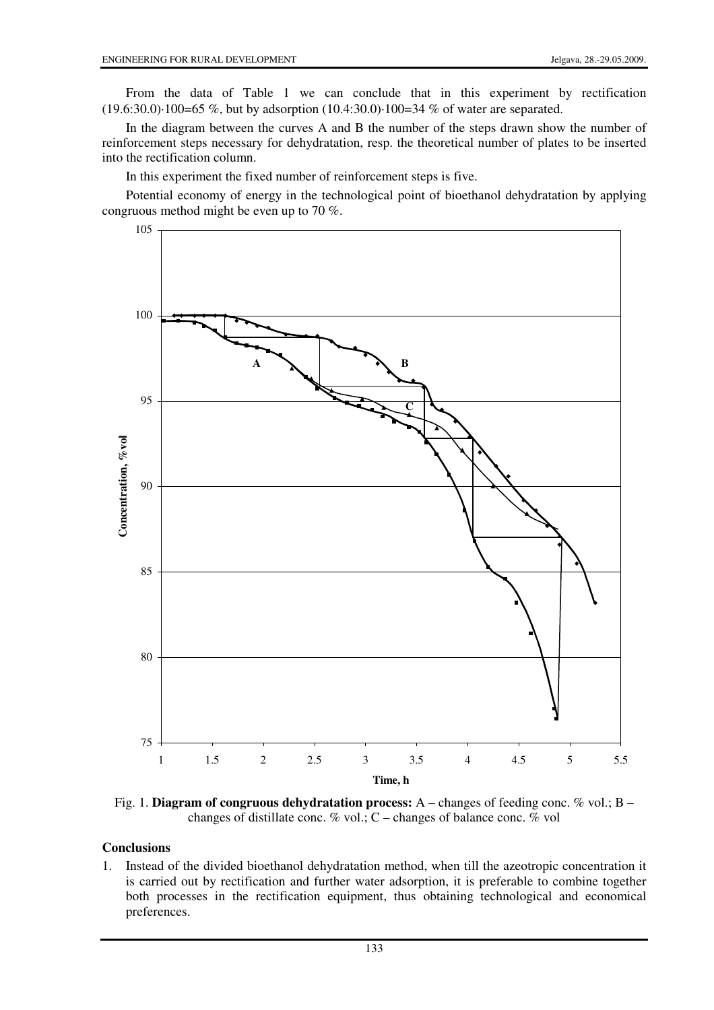From the data of Table 1 we can conclude that in this experiment by rectification (19.6:30.0)⋅100=65 %, but by adsorption (10.4:30.0)⋅100=34 % of water are separated.

In the diagram between the curves A and B the number of the steps drawn show the number of reinforcement steps necessary for dehydratation, resp. the theoretical number of plates to be inserted into the rectification column.

In this experiment the fixed number of reinforcement steps is five.

Potential economy of energy in the technological point of bioethanol dehydratation by applying congruous method might be even up to 70 %.



Fig. 1. **Diagram of congruous dehydratation process:** A – changes of feeding conc. % vol.; B – changes of distillate conc.  $\%$  vol.; C – changes of balance conc.  $\%$  vol

## **Conclusions**

1. Instead of the divided bioethanol dehydratation method, when till the azeotropic concentration it is carried out by rectification and further water adsorption, it is preferable to combine together both processes in the rectification equipment, thus obtaining technological and economical preferences.